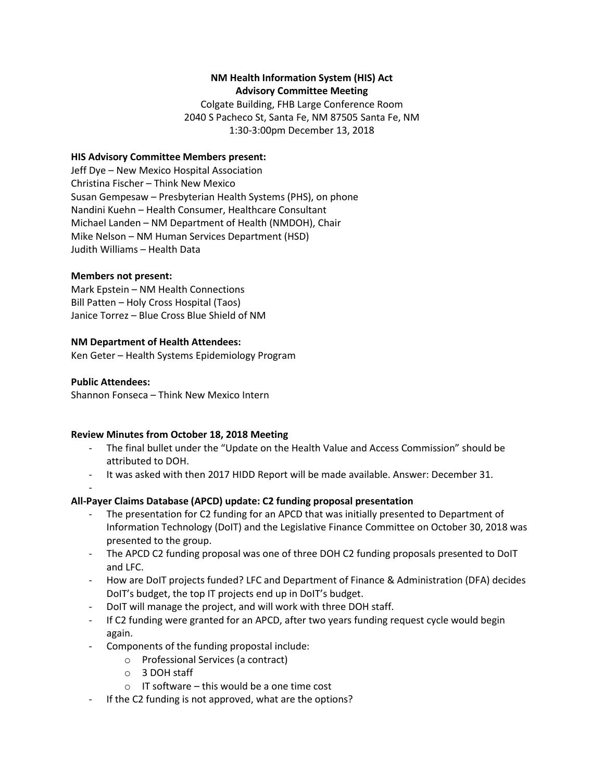## **NM Health Information System (HIS) Act Advisory Committee Meeting**

Colgate Building, FHB Large Conference Room 2040 S Pacheco St, Santa Fe, NM 87505 Santa Fe, NM 1:30-3:00pm December 13, 2018

### **HIS Advisory Committee Members present:**

Jeff Dye – New Mexico Hospital Association Christina Fischer – Think New Mexico Susan Gempesaw – Presbyterian Health Systems (PHS), on phone Nandini Kuehn – Health Consumer, Healthcare Consultant Michael Landen – NM Department of Health (NMDOH), Chair Mike Nelson – NM Human Services Department (HSD) Judith Williams – Health Data

#### **Members not present:**

Mark Epstein – NM Health Connections Bill Patten – Holy Cross Hospital (Taos) Janice Torrez – Blue Cross Blue Shield of NM

#### **NM Department of Health Attendees:**

Ken Geter – Health Systems Epidemiology Program

#### **Public Attendees:**

-

Shannon Fonseca – Think New Mexico Intern

### **Review Minutes from October 18, 2018 Meeting**

- The final bullet under the "Update on the Health Value and Access Commission" should be attributed to DOH.
- It was asked with then 2017 HIDD Report will be made available. Answer: December 31.

### **All-Payer Claims Database (APCD) update: C2 funding proposal presentation**

- The presentation for C2 funding for an APCD that was initially presented to Department of Information Technology (DoIT) and the Legislative Finance Committee on October 30, 2018 was presented to the group.
- The APCD C2 funding proposal was one of three DOH C2 funding proposals presented to DoIT and LFC.
- How are DoIT projects funded? LFC and Department of Finance & Administration (DFA) decides DoIT's budget, the top IT projects end up in DoIT's budget.
- DoIT will manage the project, and will work with three DOH staff.
- If C2 funding were granted for an APCD, after two years funding request cycle would begin again.
- Components of the funding propostal include:
	- o Professional Services (a contract)
	- o 3 DOH staff
	- $\circ$  IT software this would be a one time cost
- If the C2 funding is not approved, what are the options?